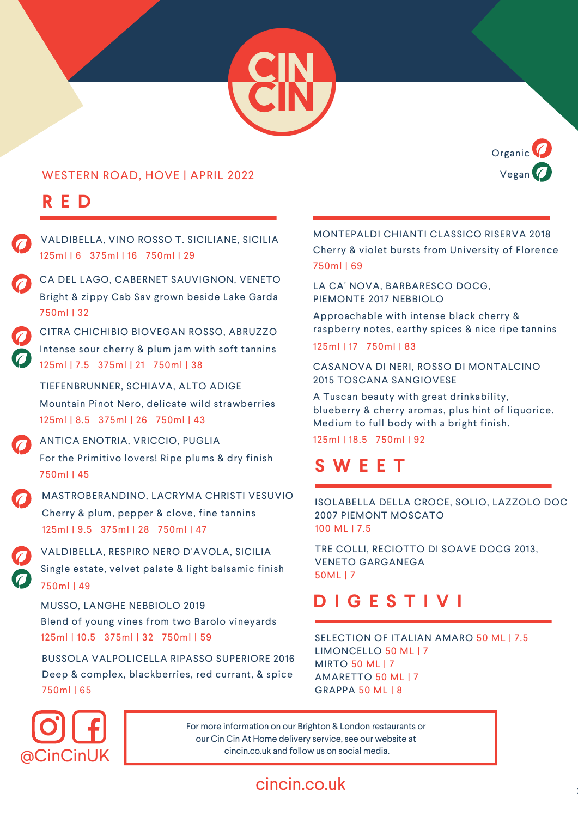

#### WESTERN ROAD, HOVE | APRIL 2022

# **R E D**



MASTROBERANDINO, LACRYMA CHRISTI VESUVIO 125ml | 9.5 375ml | 28 750ml | 47 Cherry & plum, pepper & clove, fine tannins VALDIBELLA, RESPIRO NERO D'AVOLA, SICILIA 750ml | 49 Single estate, velvet palate & light balsamic finish MUSSO, LANGHE NEBBIOLO 2019 125ml | 10.5 375ml | 32 750ml | 59 Blend of young vines from two Barolo vineyards BUSSOLA VALPOLICELLA RIPASSO SUPERIORE 2016 750ml | 65 Deep & complex, blackberries, red currant, & spice CITRA CHICHIBIO BIOVEGAN ROSSO, ABRUZZO 125ml | 7.5 375ml | 21 750ml | 38 Intense sour cherry & plum jam with soft tannins TIEFENBRUNNER, SCHIAVA, ALTO ADIGE 125ml | 8.5 375ml | 26 750ml | 43 Mountain Pinot Nero, delicate wild strawberries ANTICA ENOTRIA, VRICCIO, PUGLIA 750ml | 45 For the Primitivo lovers! Ripe plums & dry finish VALDIBELLA, VINO ROSSO T. SICILIANE, SICILIA 125ml | 6 375ml | 16 750ml | 29 CA DEL LAGO, CABERNET SAUVIGNON, VENETO 750ml | 32 Bright & zippy Cab Sav grown beside Lake Garda

#### MONTEPALDI CHIANTI CLASSICO RISERVA 2018 750ml | 69 Cherry & violet bursts from University of Florence

LA CA' NOVA, BARBARESCO DOCG, PIEMONTE 2017 NEBBIOLO

Approachable with intense black cherry & raspberry notes, earthy spices & nice ripe tannins

125ml | 17 750ml | 83

CASANOVA DI NERI, ROSSO DI MONTALCINO 2015 TOSCANA SANGIOVESE

A Tuscan beauty with great drinkability, blueberry & cherry aromas, plus hint of liquorice. Medium to full body with a bright finish.

125ml | 18.5 750ml | 92

# **S W E E T**

ISOLABELLA DELLA CROCE, SOLIO, LAZZOLO DOC 2007 PIEMONT MOSCATO 100 ML | 7.5

TRE COLLI, RECIOTTO DI SOAVE DOCG 2013, VENETO GARGANEGA 50ML | 7

# **D I G E S T I V I**

SELECTION OF ITALIAN AMARO 50 ML | 7.5 LIMONCELLO 50 ML | 7 MIRTO 50 ML | 7 AMARETTO 50 ML | 7 GRAPPA 50 ML | 8



For more information on our Brighton & London restaurants or our Cin Cin At Home delivery service, see our website at cincin.co.uk and follow us on social media.

## cincin.co.uk